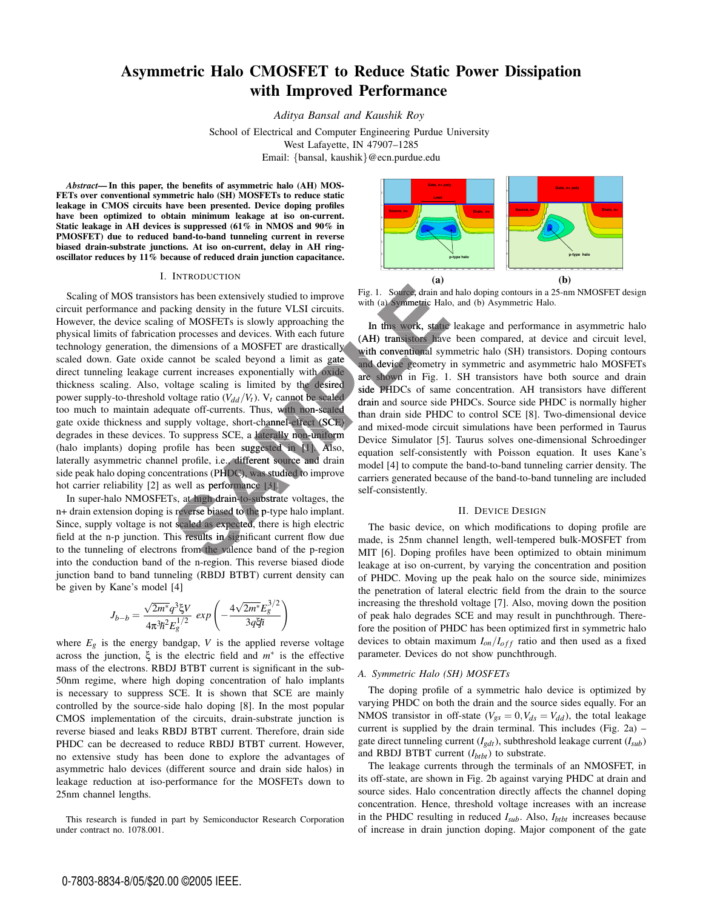# **Asymmetric Halo CMOSFET to Reduce Static Power Dissipation with Improved Performance**

*Aditya Bansal and Kaushik Roy*

School of Electrical and Computer Engineering Purdue University West Lafayette, IN 47907–1285 Email: {bansal, kaushik}@ecn.purdue.edu

*Abstract***— In this paper, the benefits of asymmetric halo (AH) MOS-FETs over conventional symmetric halo (SH) MOSFETs to reduce static leakage in CMOS circuits have been presented. Device doping profiles have been optimized to obtain minimum leakage at iso on-current. Static leakage in AH devices is suppressed (61% in NMOS and 90% in PMOSFET) due to reduced band-to-band tunneling current in reverse biased drain-substrate junctions. At iso on-current, delay in AH ringoscillator reduces by 11% because of reduced drain junction capacitance.**

### I. INTRODUCTION

Scaling of MOS transistors has been extensively studied to improve circuit performance and packing density in the future VLSI circuits. However, the device scaling of MOSFETs is slowly approaching the physical limits of fabrication processes and devices. With each future technology generation, the dimensions of a MOSFET are drastically scaled down. Gate oxide cannot be scaled beyond a limit as gate direct tunneling leakage current increases exponentially with oxide thickness scaling. Also, voltage scaling is limited by the desired power supply-to-threshold voltage ratio  $(V_{dd}/V_t)$ .  $V_t$  cannot be scaled too much to maintain adequate off-currents. Thus, with non-scaled gate oxide thickness and supply voltage, short-channel-effect (SCE) degrades in these devices. To suppress SCE, a laterally non-uniform (halo implants) doping profile has been suggested in [1]. Also, laterally asymmetric channel profile, i.e., different source and drain side peak halo doping concentrations (PHDC), was studied to improve hot carrier reliability [2] as well as performance [3]. Fig. 1. Source, drain and<br>
cking density in the future VLSI circuits.<br>
Source, drain and<br>
excitend the future VLSI circuits.<br>
In this work, statie<br>
in processes and devices. With each future<br>
(AH) transistors have<br>
dimens

In super-halo NMOSFETs, at high drain-to-substrate voltages, the drain extension doping is reverse biased to the p-type halo implant.<br>
In super-halo NMOSFETs, at high drain-to-substrate voltages, the<br>
drain extension dopin n+ drain extension doping is reverse biased to the p-type halo implant. Since, supply voltage is not scaled as expected, there is high electric field at the n-p junction. This results in significant current flow due to the tunneling of electrons from the valence band of the p-region into the conduction band of the n-region. This reverse biased diode junction band to band tunneling (RBDJ BTBT) current density can be given by Kane's model [4]

$$
J_{b-b} = \frac{\sqrt{2m^*}q^3\xi V}{4\pi^3\hbar^2 E_g^{1/2}} \exp\left(-\frac{4\sqrt{2m^*}E_g^{3/2}}{3q\xi\hbar}\right)
$$

where  $E_g$  is the energy bandgap,  $V$  is the applied reverse voltage across the junction, ξ is the electric field and *m*∗ is the effective mass of the electrons. RBDJ BTBT current is significant in the sub-50nm regime, where high doping concentration of halo implants is necessary to suppress SCE. It is shown that SCE are mainly controlled by the source-side halo doping [8]. In the most popular CMOS implementation of the circuits, drain-substrate junction is reverse biased and leaks RBDJ BTBT current. Therefore, drain side PHDC can be decreased to reduce RBDJ BTBT current. However, no extensive study has been done to explore the advantages of asymmetric halo devices (different source and drain side halos) in leakage reduction at iso-performance for the MOSFETs down to 25nm channel lengths.

This research is funded in part by Semiconductor Research Corporation under contract no. 1078.001.



Fig. 1. Source, drain and halo doping contours in a 25-nm NMOSFET design with (a) Symmetric Halo, and (b) Asymmetric Halo.

In this work, static leakage and performance in asymmetric halo (AH) transistors have been compared, at device and circuit level, with conventional symmetric halo (SH) transistors. Doping contours and device geometry in symmetric and asymmetric halo MOSFETs ge are shown in Fig. 1. SH transistors have both source and drain side PHDCs of same concentration. AH transistors have different drain and source side PHDCs. Source side PHDC is normally higher than drain side PHDC to control SCE [8]. Two-dimensional device thand mixed-mode circuit simulations have been performed in Taurus Device Simulator [5]. Taurus solves one-dimensional Schroedinger equation self-consistently with Poisson equation. It uses Kane's model [4] to compute the band-to-band tunneling carrier density. The carriers generated because of the band-to-band tunneling are included self-consistently.

#### II. DEVICE DESIGN

The basic device, on which modifications to doping profile are made, is 25nm channel length, well-tempered bulk-MOSFET from MIT [6]. Doping profiles have been optimized to obtain minimum leakage at iso on-current, by varying the concentration and position of PHDC. Moving up the peak halo on the source side, minimizes the penetration of lateral electric field from the drain to the source increasing the threshold voltage [7]. Also, moving down the position of peak halo degrades SCE and may result in punchthrough. Therefore the position of PHDC has been optimized first in symmetric halo devices to obtain maximum  $I_{on}/I_{off}$  ratio and then used as a fixed parameter. Devices do not show punchthrough.

## *A. Symmetric Halo (SH) MOSFETs*

The doping profile of a symmetric halo device is optimized by varying PHDC on both the drain and the source sides equally. For an NMOS transistor in off-state ( $V_{gs} = 0$ ,  $V_{ds} = V_{dd}$ ), the total leakage current is supplied by the drain terminal. This includes (Fig. 2a) – gate direct tunneling current (*Igdt*), subthreshold leakage current (*Isub*) and RBDJ BTBT current  $(I_{bth}$ <sup>th</sup> to substrate.

The leakage currents through the terminals of an NMOSFET, in its off-state, are shown in Fig. 2b against varying PHDC at drain and source sides. Halo concentration directly affects the channel doping concentration. Hence, threshold voltage increases with an increase in the PHDC resulting in reduced *Isub*. Also, *Ibtbt* increases because of increase in drain junction doping. Major component of the gate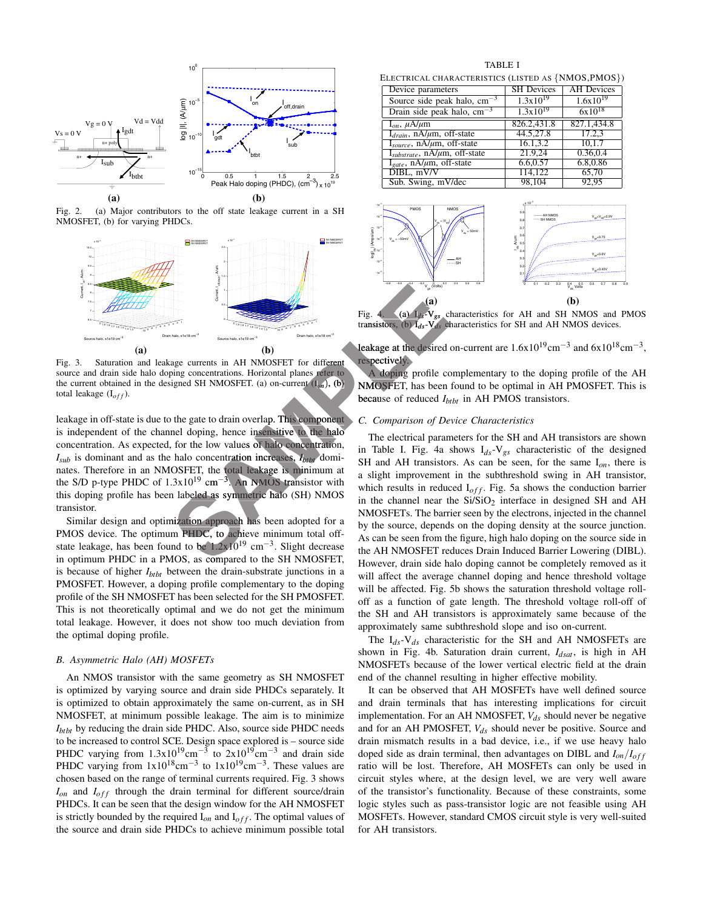

Fig. 2. (a) Major contributors to the off state leakage current in a SH NMOSFET, (b) for varying PHDCs.



Fig. 3. Saturation and leakage currents in AH NMOSFET for different source and drain side halo doping concentrations. Horizontal planes refer to the current obtained in the designed SH NMOSFET. (a) on-current (I*on*), (b) total leakage (I<sub>off</sub>).

leakage in off-state is due to the gate to drain overlap. This component is independent of the channel doping, hence insensitive to the halo concentration. As expected, for the low values of halo concentration,  $I_{sub}$  is dominant and as the halo concentration increases,  $I_{b\text{th}}$  dominates. Therefore in an NMOSFET, the total leakage is minimum at the S/D p-type PHDC of  $1.3x10^{19}$  cm<sup>-3</sup>. An NMOS transistor with this doping profile has been labeled as symmetric halo (SH) NMOS transistor. **SAMPLE for the concentration** in the set approach and the desired to the set approach and the desired of the desired of the desired of the desired of the desired of the desired of the desired of the desired of the desire

Similar design and optimization approach has been adopted for a PMOS device. The optimum PHDC, to achieve minimum total offstate leakage, has been found to be  $1.2x10^{19}$  cm<sup>-3</sup>. Slight decrease in optimum PHDC in a PMOS, as compared to the SH NMOSFET, is because of higher *Ibtbt* between the drain-substrate junctions in a PMOSFET. However, a doping profile complementary to the doping profile of the SH NMOSFET has been selected for the SH PMOSFET. This is not theoretically optimal and we do not get the minimum total leakage. However, it does not show too much deviation from the optimal doping profile.

#### *B. Asymmetric Halo (AH) MOSFETs*

An NMOS transistor with the same geometry as SH NMOSFET is optimized by varying source and drain side PHDCs separately. It is optimized to obtain approximately the same on-current, as in SH NMOSFET, at minimum possible leakage. The aim is to minimize *I<sub>btbt</sub>* by reducing the drain side PHDC. Also, source side PHDC needs to be increased to control SCE. Design space explored is – source side PHDC varying from  $1.3x10^{19}$ cm<sup>-3</sup> to  $2x10^{19}$ cm<sup>-3</sup> and drain side PHDC varying from  $1x10^{18}$ cm<sup>-3</sup> to  $1x10^{19}$ cm<sup>-3</sup>. These values are chosen based on the range of terminal currents required. Fig. 3 shows *Ion* and *Ioff* through the drain terminal for different source/drain PHDCs. It can be seen that the design window for the AH NMOSFET is strictly bounded by the required  $I_{on}$  and  $I_{off}$ . The optimal values of the source and drain side PHDCs to achieve minimum possible total

TABLE I ELECTRICAL CHARACTERISTICS (LISTED AS *[NMOS PMOS]*)

| Device parameters                                 | <b>SH</b> Devices | <b>AH</b> Devices |  |  |
|---------------------------------------------------|-------------------|-------------------|--|--|
| Source side peak halo, $cm^{-3}$                  | $1.3x10^{19}$     | $1.6x10^{19}$     |  |  |
| Drain side peak halo, $cm^{-3}$                   | $1.3x10^{19}$     | $6x10^{18}$       |  |  |
| $I_{on}$ , $\mu A/\mu m$                          | 826.2,431.8       | 827.1,434.8       |  |  |
| $I_{drain}$ , nA/ $\mu$ m, off-state              | 44.5,27.8         | 17.2.3            |  |  |
| $I_{source}$ , n $\overline{A/\mu m}$ , off-state | 16.1.3.2          | 10.1.7            |  |  |
| $I_{substrate}$ , nA/ $\mu$ m, off-state          | 21.9.24           | 0.36,0.4          |  |  |
| $I_{gate}$ , $\overline{nA/\mu m}$ , off-state    | 6.6,0.57          | 6.8,0.86          |  |  |
| $DIBL$ , $mV/V$                                   | 114.122           | 65,70             |  |  |
| Sub. Swing, mV/dec                                | 98,104            | 92,95             |  |  |



Fig. 4. (a)  $I_{ds}$ -V<sub>gs</sub> characteristics for AH and SH NMOS and PMOS transistors, (b)  $I_{ds}$ -V<sub>ds</sub> characteristics for SH and AH NMOS devices.

respectively. espectively.<br>A doping profile complementary to the doping profile of the AH

NMOSFET, has been found to be optimal in AH PMOSFET. This is NMOSFE because of reduced  $I_{b\text{tbt}}$  in AH PMOS transistors.

## *C. Comparison of Device Characteristics C*

The electrical parameters for the SH and AH transistors are shown in Table I. Fig. 4a shows I*ds*-V*gs* characteristic of the designed SH and AH transistors. As can be seen, for the same I*on*, there is a slight improvement in the subthreshold swing in AH transistor, which results in reduced  $I_{off}$ . Fig. 5a shows the conduction barrier in the channel near the  $Si/SiO<sub>2</sub>$  interface in designed SH and AH NMOSFETs. The barrier seen by the electrons, injected in the channel by the source, depends on the doping density at the source junction. As can be seen from the figure, high halo doping on the source side in the AH NMOSFET reduces Drain Induced Barrier Lowering (DIBL). However, drain side halo doping cannot be completely removed as it will affect the average channel doping and hence threshold voltage will be affected. Fig. 5b shows the saturation threshold voltage rolloff as a function of gate length. The threshold voltage roll-off of the SH and AH transistors is approximately same because of the approximately same subthreshold slope and iso on-current.

The I*ds*-V*ds* characteristic for the SH and AH NMOSFETs are shown in Fig. 4b. Saturation drain current,  $I_{dsat}$ , is high in AH NMOSFETs because of the lower vertical electric field at the drain end of the channel resulting in higher effective mobility.

It can be observed that AH MOSFETs have well defined source and drain terminals that has interesting implications for circuit implementation. For an AH NMOSFET,  $V_{ds}$  should never be negative and for an AH PMOSFET,  $V_{ds}$  should never be positive. Source and drain mismatch results in a bad device, i.e., if we use heavy halo doped side as drain terminal, then advantages on DIBL and *Ion*/*Ioff* ratio will be lost. Therefore, AH MOSFETs can only be used in circuit styles where, at the design level, we are very well aware of the transistor's functionality. Because of these constraints, some logic styles such as pass-transistor logic are not feasible using AH MOSFETs. However, standard CMOS circuit style is very well-suited for AH transistors.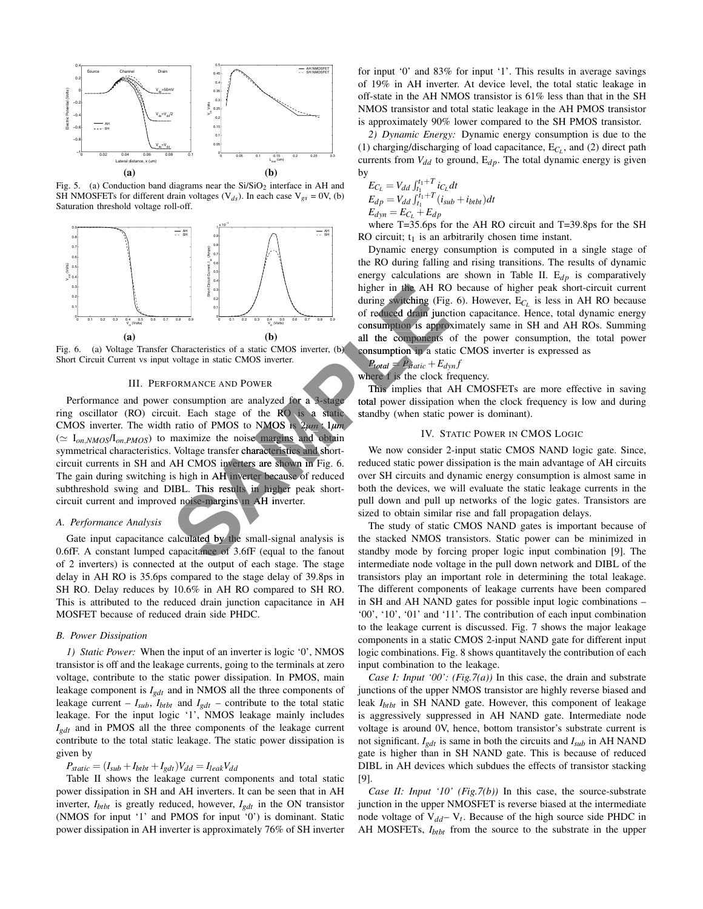

Fig. 5. (a) Conduction band diagrams near the  $Si/SiO<sub>2</sub>$  interface in AH and SH NMOSFETs for different drain voltages  $(V_{ds})$ . In each case  $V_{gs} = 0V$ , (b) Saturation threshold voltage roll-off.



Fig. 6. (a) Voltage Transfer Characteristics of a static CMOS inverter, (b) Short Circuit Current vs input voltage in static CMOS inverter.

## III. PERFORMANCE AND POWER

Performance and power consumption are analyzed for a 3-stage ring oscillator (RO) circuit. Each stage of the  $\overline{RO}$  is a static CMOS inverter. The width ratio of PMOS to NMOS is 2*µm* : 1*µm*  $(\simeq I_{on,NMOS}/I_{on,PMOS})$  to maximize the noise margins and obtain symmetrical characteristics. Voltage transfer characteristics and shortcircuit currents in SH and AH CMOS inverters are shown in Fig. 6. The gain during switching is high in AH inverter because of reduced subthreshold swing and DIBL. This results in higher peak shortcircuit current and improved noise-margins in AH inverter. From the AH RO<br>
Sampling Southing Crisis of a static CMOS inverter, (b)<br>
Characteristics of a static CMOS inverter, (b)<br>
all the components appropriate is approximate of reduced drain junct<br>
consumption in a static CMOS in

## *A. Performance Analysis*

Gate input capacitance calculated by the small-signal analysis is  $0.6$ fF. A constant lumped capacitance of  $3.6$ fF (equal to the fanout of 2 inverters) is connected at the output of each stage. The stage delay in AH RO is 35.6ps compared to the stage delay of 39.8ps in SH RO. Delay reduces by 10.6% in AH RO compared to SH RO. This is attributed to the reduced drain junction capacitance in AH MOSFET because of reduced drain side PHDC.

## *B. Power Dissipation*

*1) Static Power:* When the input of an inverter is logic '0', NMOS transistor is off and the leakage currents, going to the terminals at zero voltage, contribute to the static power dissipation. In PMOS, main leakage component is *Igdt* and in NMOS all the three components of leakage current –  $I_{sub}$ ,  $I_{b\text{tbt}}$  and  $I_{g\text{dt}}$  – contribute to the total static leakage. For the input logic '1', NMOS leakage mainly includes *Igdt* and in PMOS all the three components of the leakage current contribute to the total static leakage. The static power dissipation is given by

# $P_{static} = (I_{sub} + I_{b\text{tbt}} + I_{g\text{d}t})V_{\text{d}d} = I_{leak}V_{\text{d}d}$

Table II shows the leakage current components and total static power dissipation in SH and AH inverters. It can be seen that in AH inverter, *Ibtbt* is greatly reduced, however, *Igdt* in the ON transistor (NMOS for input '1' and PMOS for input '0') is dominant. Static power dissipation in AH inverter is approximately 76% of SH inverter

for input '0' and 83% for input '1'. This results in average savings of 19% in AH inverter. At device level, the total static leakage in off-state in the AH NMOS transistor is 61% less than that in the SH NMOS transistor and total static leakage in the AH PMOS transistor is approximately 90% lower compared to the SH PMOS transistor.

*2) Dynamic Energy:* Dynamic energy consumption is due to the (1) charging/discharging of load capacitance,  $E_{C_i}$ , and (2) direct path currents from  $V_{dd}$  to ground,  $E_{dp}$ . The total dynamic energy is given by

$$
E_{C_L} = V_{dd} \int_{t_1}^{t_1+T} i_{C_L} dt
$$
  
\n
$$
E_{dp} = V_{dd} \int_{t_1}^{t_1+T} (i_{sub} + i_{bth}) dt
$$
  
\n
$$
E_{dyn} = E_{C_L} + E_{dp}
$$

where T=35.6ps for the AH RO circuit and T=39.8ps for the SH RO circuit;  $t_1$  is an arbitrarily chosen time instant.

Dynamic energy consumption is computed in a single stage of the RO during falling and rising transitions. The results of dynamic energy calculations are shown in Table II.  $E_{dp}$  is comparatively higher in the AH RO because of higher peak short-circuit current A during switching (Fig. 6). However,  $E_{C_L}$  is less in AH RO because of reduced drain junction capacitance. Hence, total dynamic energy consumption is approximately same in SH and AH ROs. Summing all the components of the power consumption, the total power components consumption in a static CMOS inverter is expressed as a

$$
P_{total} = P_{static} + E_{dyn}f
$$

where f is the clock frequency.

This implies that AH CMOSFETs are more effective in saving total power dissipation when the clock frequency is low and during total standby (when static power is dominant).

# IV. STATIC POWER IN CMOS LOGIC

We now consider 2-input static CMOS NAND logic gate. Since, reduced static power dissipation is the main advantage of AH circuits over SH circuits and dynamic energy consumption is almost same in both the devices, we will evaluate the static leakage currents in the pull down and pull up networks of the logic gates. Transistors are sized to obtain similar rise and fall propagation delays.

The study of static CMOS NAND gates is important because of the stacked NMOS transistors. Static power can be minimized in standby mode by forcing proper logic input combination [9]. The intermediate node voltage in the pull down network and DIBL of the transistors play an important role in determining the total leakage. The different components of leakage currents have been compared in SH and AH NAND gates for possible input logic combinations – '00', '10', '01' and '11'. The contribution of each input combination to the leakage current is discussed. Fig. 7 shows the major leakage components in a static CMOS 2-input NAND gate for different input logic combinations. Fig. 8 shows quantitavely the contribution of each input combination to the leakage.

*Case I: Input '00': (Fig.7(a))* In this case, the drain and substrate junctions of the upper NMOS transistor are highly reverse biased and leak *I<sub>btbt</sub>* in SH NAND gate. However, this component of leakage is aggressively suppressed in AH NAND gate. Intermediate node voltage is around 0V, hence, bottom transistor's substrate current is not significant.  $I_{gdt}$  is same in both the circuits and  $I_{sub}$  in AH NAND gate is higher than in SH NAND gate. This is because of reduced DIBL in AH devices which subdues the effects of transistor stacking [9].

*Case II: Input '10' (Fig.7(b))* In this case, the source-substrate junction in the upper NMOSFET is reverse biased at the intermediate node voltage of  $V_{dd} - V_t$ . Because of the high source side PHDC in AH MOSFETs, *Ibtbt* from the source to the substrate in the upper